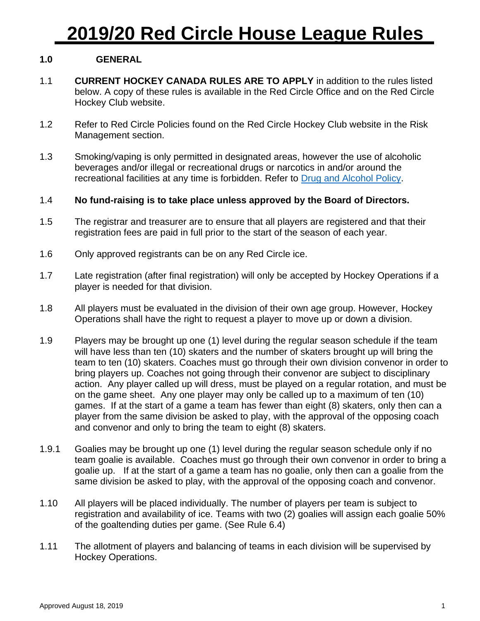## **1.0 GENERAL**

- 1.1 **CURRENT HOCKEY CANADA RULES ARE TO APPLY** in addition to the rules listed below. A copy of these rules is available in the Red Circle Office and on the Red Circle Hockey Club website.
- 1.2 Refer to Red Circle Policies found on the Red Circle Hockey Club website in the Risk Management section.
- 1.3 Smoking/vaping is only permitted in designated areas, however the use of alcoholic beverages and/or illegal or recreational drugs or narcotics in and/or around the recreational facilities at any time is forbidden. Refer to [Drug and Alcohol Policy.](http://www.redcirclehockeyclub.com/site/ClientSite/article/213937)

## 1.4 **No fund-raising is to take place unless approved by the Board of Directors.**

- 1.5 The registrar and treasurer are to ensure that all players are registered and that their registration fees are paid in full prior to the start of the season of each year.
- 1.6 Only approved registrants can be on any Red Circle ice.
- 1.7 Late registration (after final registration) will only be accepted by Hockey Operations if a player is needed for that division.
- 1.8 All players must be evaluated in the division of their own age group. However, Hockey Operations shall have the right to request a player to move up or down a division.
- 1.9 Players may be brought up one (1) level during the regular season schedule if the team will have less than ten (10) skaters and the number of skaters brought up will bring the team to ten (10) skaters. Coaches must go through their own division convenor in order to bring players up. Coaches not going through their convenor are subject to disciplinary action. Any player called up will dress, must be played on a regular rotation, and must be on the game sheet. Any one player may only be called up to a maximum of ten (10) games. If at the start of a game a team has fewer than eight (8) skaters, only then can a player from the same division be asked to play, with the approval of the opposing coach and convenor and only to bring the team to eight (8) skaters.
- 1.9.1 Goalies may be brought up one (1) level during the regular season schedule only if no team goalie is available. Coaches must go through their own convenor in order to bring a goalie up. If at the start of a game a team has no goalie, only then can a goalie from the same division be asked to play, with the approval of the opposing coach and convenor.
- 1.10 All players will be placed individually. The number of players per team is subject to registration and availability of ice. Teams with two (2) goalies will assign each goalie 50% of the goaltending duties per game. (See Rule 6.4)
- 1.11 The allotment of players and balancing of teams in each division will be supervised by Hockey Operations.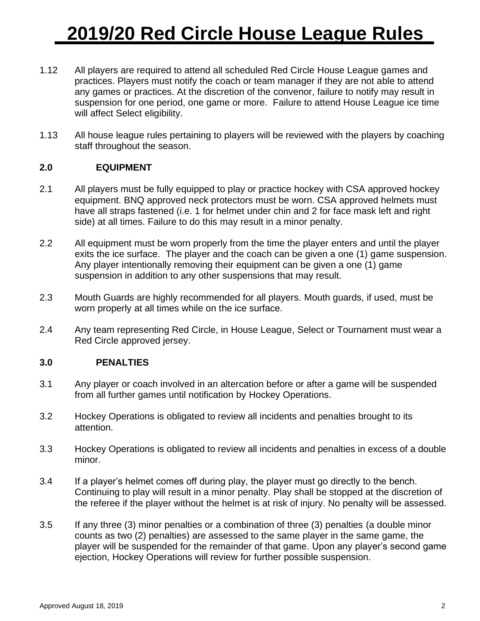- 1.12 All players are required to attend all scheduled Red Circle House League games and practices. Players must notify the coach or team manager if they are not able to attend any games or practices. At the discretion of the convenor, failure to notify may result in suspension for one period, one game or more. Failure to attend House League ice time will affect Select eligibility.
- 1.13 All house league rules pertaining to players will be reviewed with the players by coaching staff throughout the season.

## **2.0 EQUIPMENT**

- 2.1 All players must be fully equipped to play or practice hockey with CSA approved hockey equipment. BNQ approved neck protectors must be worn. CSA approved helmets must have all straps fastened (i.e. 1 for helmet under chin and 2 for face mask left and right side) at all times. Failure to do this may result in a minor penalty.
- 2.2 All equipment must be worn properly from the time the player enters and until the player exits the ice surface. The player and the coach can be given a one (1) game suspension. Any player intentionally removing their equipment can be given a one (1) game suspension in addition to any other suspensions that may result.
- 2.3 Mouth Guards are highly recommended for all players. Mouth guards, if used, must be worn properly at all times while on the ice surface.
- 2.4 Any team representing Red Circle, in House League, Select or Tournament must wear a Red Circle approved jersey.

### **3.0 PENALTIES**

- 3.1 Any player or coach involved in an altercation before or after a game will be suspended from all further games until notification by Hockey Operations.
- 3.2 Hockey Operations is obligated to review all incidents and penalties brought to its attention.
- 3.3 Hockey Operations is obligated to review all incidents and penalties in excess of a double minor.
- 3.4 If a player's helmet comes off during play, the player must go directly to the bench. Continuing to play will result in a minor penalty. Play shall be stopped at the discretion of the referee if the player without the helmet is at risk of injury. No penalty will be assessed.
- 3.5 If any three (3) minor penalties or a combination of three (3) penalties (a double minor counts as two (2) penalties) are assessed to the same player in the same game, the player will be suspended for the remainder of that game. Upon any player's second game ejection, Hockey Operations will review for further possible suspension.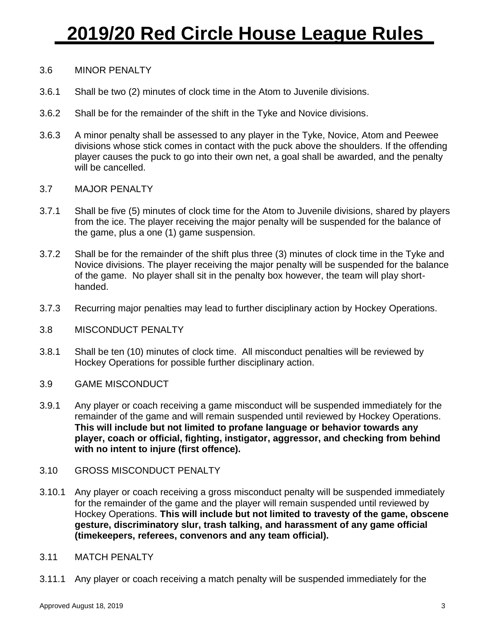### 3.6 MINOR PENALTY

- 3.6.1 Shall be two (2) minutes of clock time in the Atom to Juvenile divisions.
- 3.6.2 Shall be for the remainder of the shift in the Tyke and Novice divisions.
- 3.6.3 A minor penalty shall be assessed to any player in the Tyke, Novice, Atom and Peewee divisions whose stick comes in contact with the puck above the shoulders. If the offending player causes the puck to go into their own net, a goal shall be awarded, and the penalty will be cancelled.
- 3.7 MAJOR PENALTY
- 3.7.1 Shall be five (5) minutes of clock time for the Atom to Juvenile divisions, shared by players from the ice. The player receiving the major penalty will be suspended for the balance of the game, plus a one (1) game suspension.
- 3.7.2 Shall be for the remainder of the shift plus three (3) minutes of clock time in the Tyke and Novice divisions. The player receiving the major penalty will be suspended for the balance of the game. No player shall sit in the penalty box however, the team will play shorthanded.
- 3.7.3 Recurring major penalties may lead to further disciplinary action by Hockey Operations.
- 3.8 MISCONDUCT PENALTY
- 3.8.1 Shall be ten (10) minutes of clock time. All misconduct penalties will be reviewed by Hockey Operations for possible further disciplinary action.
- 3.9 GAME MISCONDUCT
- 3.9.1 Any player or coach receiving a game misconduct will be suspended immediately for the remainder of the game and will remain suspended until reviewed by Hockey Operations. **This will include but not limited to profane language or behavior towards any player, coach or official, fighting, instigator, aggressor, and checking from behind with no intent to injure (first offence).**
- 3.10 GROSS MISCONDUCT PENALTY
- 3.10.1 Any player or coach receiving a gross misconduct penalty will be suspended immediately for the remainder of the game and the player will remain suspended until reviewed by Hockey Operations. **This will include but not limited to travesty of the game, obscene gesture, discriminatory slur, trash talking, and harassment of any game official (timekeepers, referees, convenors and any team official).**
- 3.11 MATCH PENALTY
- 3.11.1 Any player or coach receiving a match penalty will be suspended immediately for the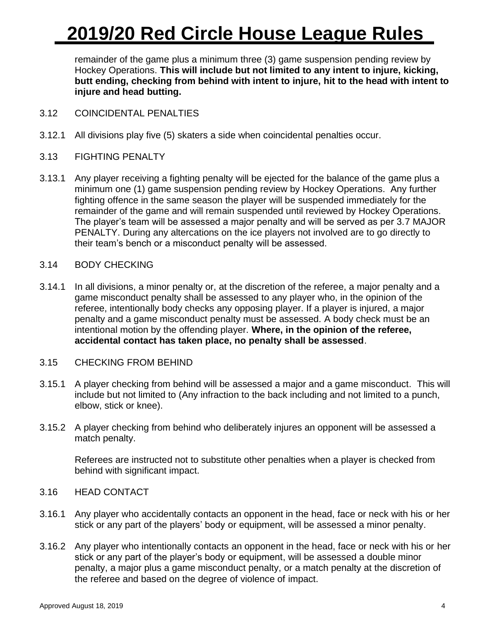remainder of the game plus a minimum three (3) game suspension pending review by Hockey Operations. **This will include but not limited to any intent to injure, kicking, butt ending, checking from behind with intent to injure, hit to the head with intent to injure and head butting.**

- 3.12 COINCIDENTAL PENALTIES
- 3.12.1 All divisions play five (5) skaters a side when coincidental penalties occur.
- 3.13 FIGHTING PENALTY
- 3.13.1 Any player receiving a fighting penalty will be ejected for the balance of the game plus a minimum one (1) game suspension pending review by Hockey Operations. Any further fighting offence in the same season the player will be suspended immediately for the remainder of the game and will remain suspended until reviewed by Hockey Operations. The player's team will be assessed a major penalty and will be served as per 3.7 MAJOR PENALTY. During any altercations on the ice players not involved are to go directly to their team's bench or a misconduct penalty will be assessed.
- 3.14 BODY CHECKING
- 3.14.1 In all divisions, a minor penalty or, at the discretion of the referee, a major penalty and a game misconduct penalty shall be assessed to any player who, in the opinion of the referee, intentionally body checks any opposing player. If a player is injured, a major penalty and a game misconduct penalty must be assessed. A body check must be an intentional motion by the offending player. **Where, in the opinion of the referee, accidental contact has taken place, no penalty shall be assessed**.
- 3.15 CHECKING FROM BEHIND
- 3.15.1 A player checking from behind will be assessed a major and a game misconduct. This will include but not limited to (Any infraction to the back including and not limited to a punch, elbow, stick or knee).
- 3.15.2 A player checking from behind who deliberately injures an opponent will be assessed a match penalty.

Referees are instructed not to substitute other penalties when a player is checked from behind with significant impact.

## 3.16 HEAD CONTACT

- 3.16.1 Any player who accidentally contacts an opponent in the head, face or neck with his or her stick or any part of the players' body or equipment, will be assessed a minor penalty.
- 3.16.2 Any player who intentionally contacts an opponent in the head, face or neck with his or her stick or any part of the player's body or equipment, will be assessed a double minor penalty, a major plus a game misconduct penalty, or a match penalty at the discretion of the referee and based on the degree of violence of impact.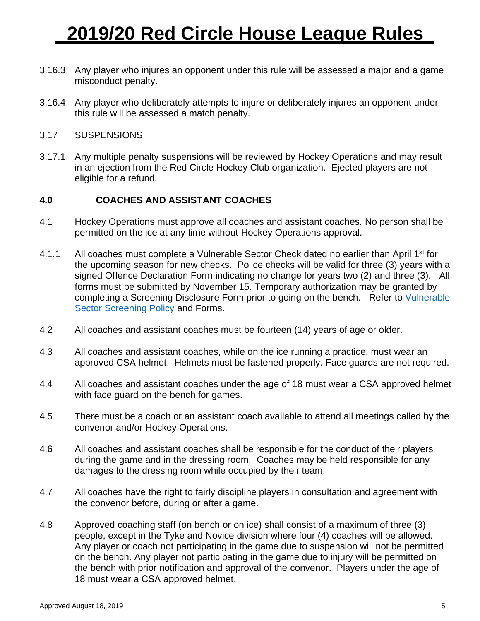- 3.16.3 Any player who injures an opponent under this rule will be assessed a major and a game misconduct penalty.
- 3.16.4 Any player who deliberately attempts to injure or deliberately injures an opponent under this rule will be assessed a match penalty.
- 3.17 SUSPENSIONS
- 3.17.1 Any multiple penalty suspensions will be reviewed by Hockey Operations and may result in an ejection from the Red Circle Hockey Club organization. Ejected players are not eligible for a refund.

### **4.0 COACHES AND ASSISTANT COACHES**

- 4.1 Hockey Operations must approve all coaches and assistant coaches. No person shall be permitted on the ice at any time without Hockey Operations approval.
- 4.1.1 All coaches must complete a Vulnerable Sector Check dated no earlier than April 1<sup>st</sup> for the upcoming season for new checks. Police checks will be valid for three (3) years with a signed Offence Declaration Form indicating no change for years two (2) and three (3). All forms must be submitted by November 15. Temporary authorization may be granted by completing a Screening Disclosure Form prior to going on the bench. Refer to [Vulnerable](http://www.redcirclehockeyclub.com/site/ClientSite/article/213942)  [Sector Screening Policy](http://www.redcirclehockeyclub.com/site/ClientSite/article/213942) and Forms.
- 4.2 All coaches and assistant coaches must be fourteen (14) years of age or older.
- 4.3 All coaches and assistant coaches, while on the ice running a practice, must wear an approved CSA helmet. Helmets must be fastened properly. Face guards are not required.
- 4.4 All coaches and assistant coaches under the age of 18 must wear a CSA approved helmet with face guard on the bench for games.
- 4.5 There must be a coach or an assistant coach available to attend all meetings called by the convenor and/or Hockey Operations.
- 4.6 All coaches and assistant coaches shall be responsible for the conduct of their players during the game and in the dressing room. Coaches may be held responsible for any damages to the dressing room while occupied by their team.
- 4.7 All coaches have the right to fairly discipline players in consultation and agreement with the convenor before, during or after a game.
- 4.8 Approved coaching staff (on bench or on ice) shall consist of a maximum of three (3) people, except in the Tyke and Novice division where four (4) coaches will be allowed. Any player or coach not participating in the game due to suspension will not be permitted on the bench. Any player not participating in the game due to injury will be permitted on the bench with prior notification and approval of the convenor. Players under the age of 18 must wear a CSA approved helmet.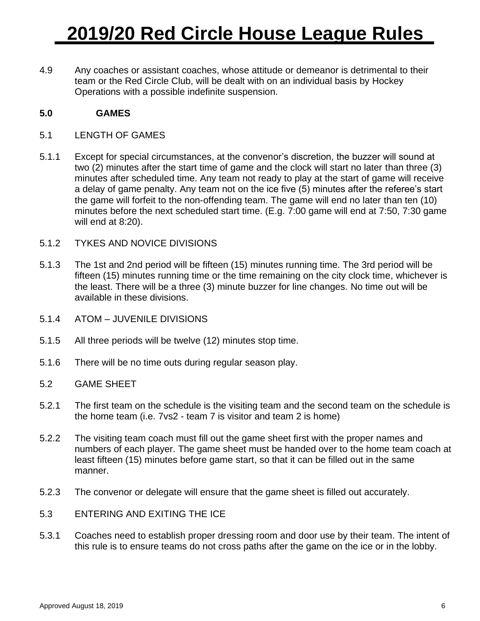4.9 Any coaches or assistant coaches, whose attitude or demeanor is detrimental to their team or the Red Circle Club, will be dealt with on an individual basis by Hockey Operations with a possible indefinite suspension.

## **5.0 GAMES**

- 5.1 LENGTH OF GAMES
- 5.1.1 Except for special circumstances, at the convenor's discretion, the buzzer will sound at two (2) minutes after the start time of game and the clock will start no later than three (3) minutes after scheduled time. Any team not ready to play at the start of game will receive a delay of game penalty. Any team not on the ice five (5) minutes after the referee's start the game will forfeit to the non-offending team. The game will end no later than ten (10) minutes before the next scheduled start time. (E.g. 7:00 game will end at 7:50, 7:30 game will end at 8:20).
- 5.1.2 TYKES AND NOVICE DIVISIONS
- 5.1.3 The 1st and 2nd period will be fifteen (15) minutes running time. The 3rd period will be fifteen (15) minutes running time or the time remaining on the city clock time, whichever is the least. There will be a three (3) minute buzzer for line changes. No time out will be available in these divisions.
- 5.1.4 ATOM JUVENILE DIVISIONS
- 5.1.5 All three periods will be twelve (12) minutes stop time.
- 5.1.6 There will be no time outs during regular season play.
- 5.2 GAME SHEET
- 5.2.1 The first team on the schedule is the visiting team and the second team on the schedule is the home team (i.e. 7vs2 - team 7 is visitor and team 2 is home)
- 5.2.2 The visiting team coach must fill out the game sheet first with the proper names and numbers of each player. The game sheet must be handed over to the home team coach at least fifteen (15) minutes before game start, so that it can be filled out in the same manner.
- 5.2.3 The convenor or delegate will ensure that the game sheet is filled out accurately.
- 5.3 ENTERING AND EXITING THE ICE
- 5.3.1 Coaches need to establish proper dressing room and door use by their team. The intent of this rule is to ensure teams do not cross paths after the game on the ice or in the lobby.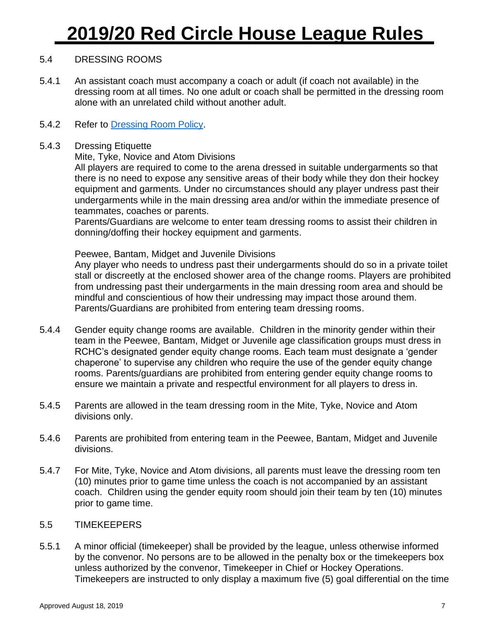## 5.4 DRESSING ROOMS

- 5.4.1 An assistant coach must accompany a coach or adult (if coach not available) in the dressing room at all times. No one adult or coach shall be permitted in the dressing room alone with an unrelated child without another adult.
- 5.4.2 Refer to [Dressing Room Policy.](http://www.redcirclehockeyclub.com/site/ClientSite/article/213936)

### 5.4.3 Dressing Etiquette

### Mite, Tyke, Novice and Atom Divisions

All players are required to come to the arena dressed in suitable undergarments so that there is no need to expose any sensitive areas of their body while they don their hockey equipment and garments. Under no circumstances should any player undress past their undergarments while in the main dressing area and/or within the immediate presence of teammates, coaches or parents.

Parents/Guardians are welcome to enter team dressing rooms to assist their children in donning/doffing their hockey equipment and garments.

#### Peewee, Bantam, Midget and Juvenile Divisions

Any player who needs to undress past their undergarments should do so in a private toilet stall or discreetly at the enclosed shower area of the change rooms. Players are prohibited from undressing past their undergarments in the main dressing room area and should be mindful and conscientious of how their undressing may impact those around them. Parents/Guardians are prohibited from entering team dressing rooms.

- 5.4.4 Gender equity change rooms are available. Children in the minority gender within their team in the Peewee, Bantam, Midget or Juvenile age classification groups must dress in RCHC's designated gender equity change rooms. Each team must designate a 'gender chaperone' to supervise any children who require the use of the gender equity change rooms. Parents/guardians are prohibited from entering gender equity change rooms to ensure we maintain a private and respectful environment for all players to dress in.
- 5.4.5 Parents are allowed in the team dressing room in the Mite, Tyke, Novice and Atom divisions only.
- 5.4.6 Parents are prohibited from entering team in the Peewee, Bantam, Midget and Juvenile divisions.
- 5.4.7 For Mite, Tyke, Novice and Atom divisions, all parents must leave the dressing room ten (10) minutes prior to game time unless the coach is not accompanied by an assistant coach. Children using the gender equity room should join their team by ten (10) minutes prior to game time.

### 5.5 TIMEKEEPERS

5.5.1 A minor official (timekeeper) shall be provided by the league, unless otherwise informed by the convenor. No persons are to be allowed in the penalty box or the timekeepers box unless authorized by the convenor, Timekeeper in Chief or Hockey Operations. Timekeepers are instructed to only display a maximum five (5) goal differential on the time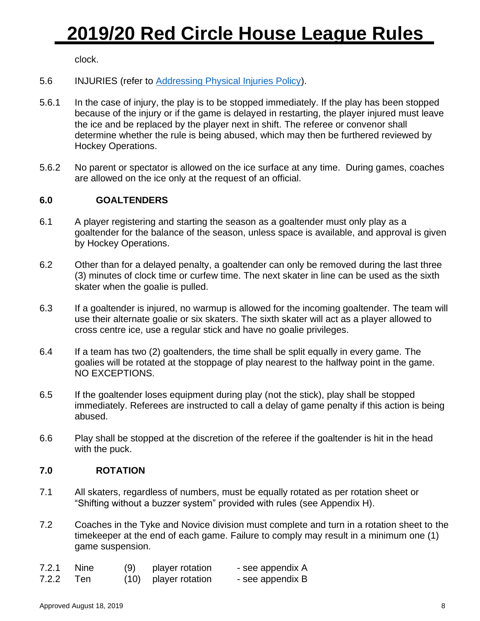clock.

- 5.6 INJURIES (refer to [Addressing Physical Injuries Policy\)](http://www.redcirclehockeyclub.com/site/ClientSite/article/213934).
- 5.6.1 In the case of injury, the play is to be stopped immediately. If the play has been stopped because of the injury or if the game is delayed in restarting, the player injured must leave the ice and be replaced by the player next in shift. The referee or convenor shall determine whether the rule is being abused, which may then be furthered reviewed by Hockey Operations.
- 5.6.2 No parent or spectator is allowed on the ice surface at any time. During games, coaches are allowed on the ice only at the request of an official.

## **6.0 GOALTENDERS**

- 6.1 A player registering and starting the season as a goaltender must only play as a goaltender for the balance of the season, unless space is available, and approval is given by Hockey Operations.
- 6.2 Other than for a delayed penalty, a goaltender can only be removed during the last three (3) minutes of clock time or curfew time. The next skater in line can be used as the sixth skater when the goalie is pulled.
- 6.3 If a goaltender is injured, no warmup is allowed for the incoming goaltender. The team will use their alternate goalie or six skaters. The sixth skater will act as a player allowed to cross centre ice, use a regular stick and have no goalie privileges.
- 6.4 If a team has two (2) goaltenders, the time shall be split equally in every game. The goalies will be rotated at the stoppage of play nearest to the halfway point in the game. NO EXCEPTIONS.
- 6.5 If the goaltender loses equipment during play (not the stick), play shall be stopped immediately. Referees are instructed to call a delay of game penalty if this action is being abused.
- 6.6 Play shall be stopped at the discretion of the referee if the goaltender is hit in the head with the puck.

## **7.0 ROTATION**

- 7.1 All skaters, regardless of numbers, must be equally rotated as per rotation sheet or "Shifting without a buzzer system" provided with rules (see Appendix H).
- 7.2 Coaches in the Tyke and Novice division must complete and turn in a rotation sheet to the timekeeper at the end of each game. Failure to comply may result in a minimum one (1) game suspension.

| 7.2.1 Nine | (9) | player rotation      | - see appendix A |
|------------|-----|----------------------|------------------|
| 7.2.2 Ten  |     | (10) player rotation | - see appendix B |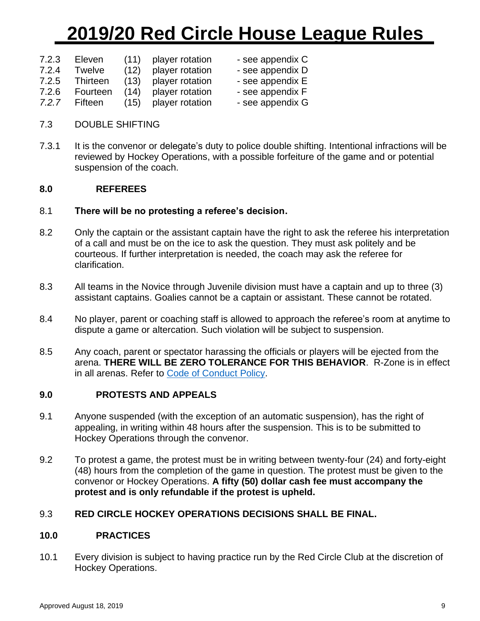| 7.2.3 | Eleven        | (11) | player rotation |
|-------|---------------|------|-----------------|
| 7.2.4 | <b>Twelve</b> | (12) | player rotation |
| 7.2.5 | Thirteen      | (13) | player rotation |
| 7.2.6 | Fourteen      | (14) | player rotation |
|       |               |      |                 |

- see appendix C
- see appendix D
- see appendix E
- see appendix F
- *7.2.7* Fifteen (15) player rotation see appendix G
- 7.3 DOUBLE SHIFTING
- 7.3.1 It is the convenor or delegate's duty to police double shifting. Intentional infractions will be reviewed by Hockey Operations, with a possible forfeiture of the game and or potential suspension of the coach.

## **8.0 REFEREES**

## 8.1 **There will be no protesting a referee's decision.**

- 8.2 Only the captain or the assistant captain have the right to ask the referee his interpretation of a call and must be on the ice to ask the question. They must ask politely and be courteous. If further interpretation is needed, the coach may ask the referee for clarification.
- 8.3 All teams in the Novice through Juvenile division must have a captain and up to three (3) assistant captains. Goalies cannot be a captain or assistant. These cannot be rotated.
- 8.4 No player, parent or coaching staff is allowed to approach the referee's room at anytime to dispute a game or altercation. Such violation will be subject to suspension.
- 8.5 Any coach, parent or spectator harassing the officials or players will be ejected from the arena. **THERE WILL BE ZERO TOLERANCE FOR THIS BEHAVIOR**. R-Zone is in effect in all arenas. Refer to [Code of Conduct Policy.](http://www.redcirclehockeyclub.com/site/ClientSite/article/213943)

## **9.0 PROTESTS AND APPEALS**

- 9.1 Anyone suspended (with the exception of an automatic suspension), has the right of appealing, in writing within 48 hours after the suspension. This is to be submitted to Hockey Operations through the convenor.
- 9.2 To protest a game, the protest must be in writing between twenty-four (24) and forty-eight (48) hours from the completion of the game in question. The protest must be given to the convenor or Hockey Operations. **A fifty (50) dollar cash fee must accompany the protest and is only refundable if the protest is upheld.**

## 9.3 **RED CIRCLE HOCKEY OPERATIONS DECISIONS SHALL BE FINAL.**

### **10.0 PRACTICES**

10.1 Every division is subject to having practice run by the Red Circle Club at the discretion of Hockey Operations.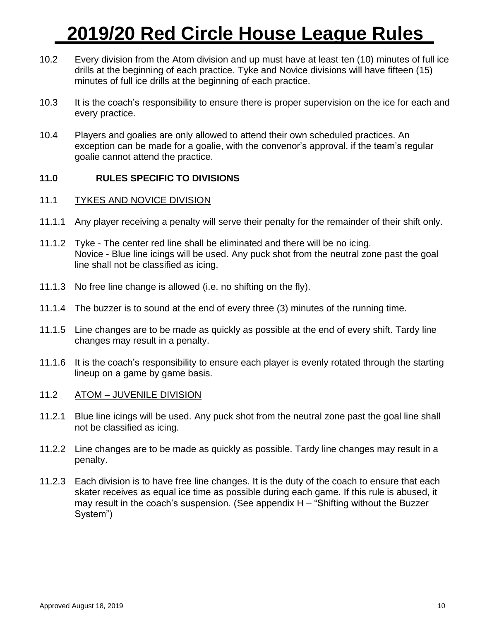- 10.2 Every division from the Atom division and up must have at least ten (10) minutes of full ice drills at the beginning of each practice. Tyke and Novice divisions will have fifteen (15) minutes of full ice drills at the beginning of each practice.
- 10.3 It is the coach's responsibility to ensure there is proper supervision on the ice for each and every practice.
- 10.4 Players and goalies are only allowed to attend their own scheduled practices. An exception can be made for a goalie, with the convenor's approval, if the team's regular goalie cannot attend the practice.

### **11.0 RULES SPECIFIC TO DIVISIONS**

#### 11.1 TYKES AND NOVICE DIVISION

- 11.1.1 Any player receiving a penalty will serve their penalty for the remainder of their shift only.
- 11.1.2 Tyke The center red line shall be eliminated and there will be no icing. Novice - Blue line icings will be used. Any puck shot from the neutral zone past the goal line shall not be classified as icing.
- 11.1.3 No free line change is allowed (i.e. no shifting on the fly).
- 11.1.4 The buzzer is to sound at the end of every three (3) minutes of the running time.
- 11.1.5 Line changes are to be made as quickly as possible at the end of every shift. Tardy line changes may result in a penalty.
- 11.1.6 It is the coach's responsibility to ensure each player is evenly rotated through the starting lineup on a game by game basis.
- 11.2 ATOM JUVENILE DIVISION
- 11.2.1 Blue line icings will be used. Any puck shot from the neutral zone past the goal line shall not be classified as icing.
- 11.2.2 Line changes are to be made as quickly as possible. Tardy line changes may result in a penalty.
- 11.2.3 Each division is to have free line changes. It is the duty of the coach to ensure that each skater receives as equal ice time as possible during each game. If this rule is abused, it may result in the coach's suspension. (See appendix H – "Shifting without the Buzzer System")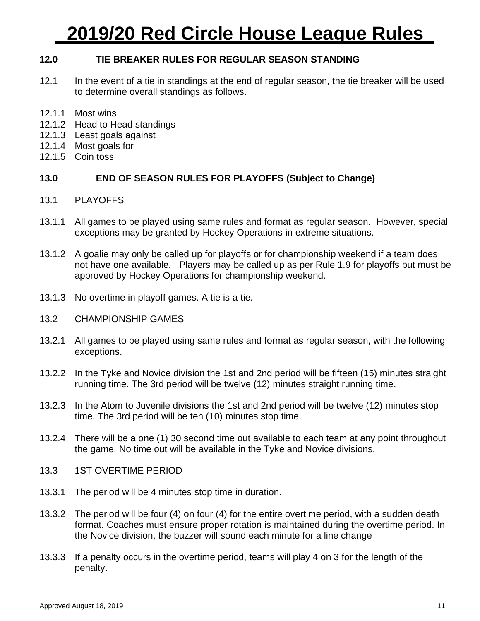### **12.0 TIE BREAKER RULES FOR REGULAR SEASON STANDING**

- 12.1 In the event of a tie in standings at the end of regular season, the tie breaker will be used to determine overall standings as follows.
- 12.1.1 Most wins
- 12.1.2 Head to Head standings
- 12.1.3 Least goals against
- 12.1.4 Most goals for
- 12.1.5 Coin toss

### **13.0 END OF SEASON RULES FOR PLAYOFFS (Subject to Change)**

- 13.1 PLAYOFFS
- 13.1.1 All games to be played using same rules and format as regular season. However, special exceptions may be granted by Hockey Operations in extreme situations.
- 13.1.2 A goalie may only be called up for playoffs or for championship weekend if a team does not have one available. Players may be called up as per Rule 1.9 for playoffs but must be approved by Hockey Operations for championship weekend.
- 13.1.3 No overtime in playoff games. A tie is a tie.
- 13.2 CHAMPIONSHIP GAMES
- 13.2.1 All games to be played using same rules and format as regular season, with the following exceptions.
- 13.2.2 In the Tyke and Novice division the 1st and 2nd period will be fifteen (15) minutes straight running time. The 3rd period will be twelve (12) minutes straight running time.
- 13.2.3 In the Atom to Juvenile divisions the 1st and 2nd period will be twelve (12) minutes stop time. The 3rd period will be ten (10) minutes stop time.
- 13.2.4 There will be a one (1) 30 second time out available to each team at any point throughout the game. No time out will be available in the Tyke and Novice divisions.
- 13.3 1ST OVERTIME PERIOD
- 13.3.1 The period will be 4 minutes stop time in duration.
- 13.3.2 The period will be four (4) on four (4) for the entire overtime period, with a sudden death format. Coaches must ensure proper rotation is maintained during the overtime period. In the Novice division, the buzzer will sound each minute for a line change
- 13.3.3 If a penalty occurs in the overtime period, teams will play 4 on 3 for the length of the penalty.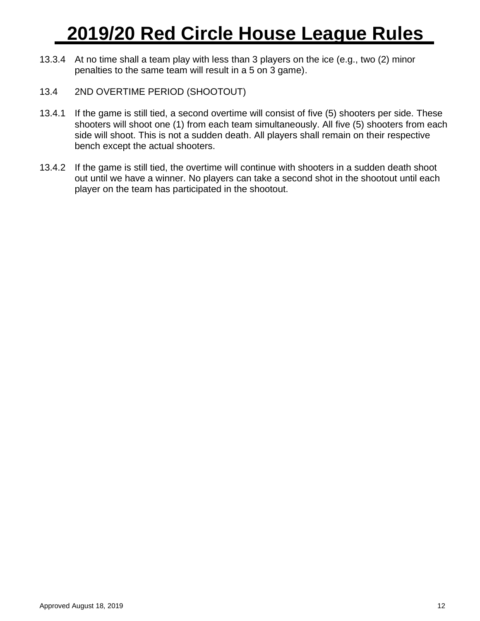- 13.3.4 At no time shall a team play with less than 3 players on the ice (e.g., two (2) minor penalties to the same team will result in a 5 on 3 game).
- 13.4 2ND OVERTIME PERIOD (SHOOTOUT)
- 13.4.1 If the game is still tied, a second overtime will consist of five (5) shooters per side. These shooters will shoot one (1) from each team simultaneously. All five (5) shooters from each side will shoot. This is not a sudden death. All players shall remain on their respective bench except the actual shooters.
- 13.4.2 If the game is still tied, the overtime will continue with shooters in a sudden death shoot out until we have a winner. No players can take a second shot in the shootout until each player on the team has participated in the shootout.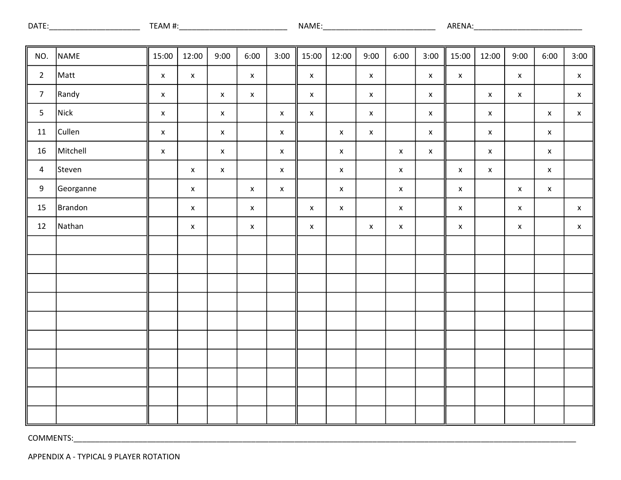| <b>DATE</b> | ΑľΜ<br>. . | NAME | ARENA. |
|-------------|------------|------|--------|
|             |            |      |        |

| NO.            | NAME      | 15:00              | 12:00              | 9:00               | 6:00               | 3:00        | 15:00              | 12:00              | 9:00               | 6:00               | 3:00               | 15:00              | 12:00              | 9:00                      | 6:00               | 3:00                      |
|----------------|-----------|--------------------|--------------------|--------------------|--------------------|-------------|--------------------|--------------------|--------------------|--------------------|--------------------|--------------------|--------------------|---------------------------|--------------------|---------------------------|
| $\overline{2}$ | Matt      | $\pmb{\mathsf{x}}$ | $\mathsf X$        |                    | $\mathsf{X}^-$     |             | $\mathsf X$        |                    | $\mathsf X$        |                    | $\mathsf X$        | $\mathsf X$        |                    | $\mathsf X$               |                    | $\mathsf X$               |
| $\overline{7}$ | Randy     | $\pmb{\mathsf{x}}$ |                    | $\mathsf X$        | $\pmb{\mathsf{X}}$ |             | $\pmb{\mathsf{X}}$ |                    | $\mathsf X$        |                    | $\pmb{\mathsf{X}}$ |                    | $\mathsf X$        | $\boldsymbol{\mathsf{X}}$ |                    | $\boldsymbol{\mathsf{X}}$ |
| 5              | Nick      | $\pmb{\mathsf{x}}$ |                    | $\mathsf{x}$       |                    | $\mathsf X$ | $\pmb{\mathsf{x}}$ |                    | $\pmb{\mathsf{X}}$ |                    | $\mathsf X$        |                    | $\pmb{\mathsf{X}}$ |                           | $\mathsf X$        | $\mathsf X$               |
| $11\,$         | Cullen    | $\pmb{\mathsf{x}}$ |                    | $\mathsf X$        |                    | $\mathsf X$ |                    | $\pmb{\mathsf{X}}$ | $\pmb{\mathsf{X}}$ |                    | $\mathsf X$        |                    | $\mathsf X$        |                           | $\mathsf X$        |                           |
| $16\,$         | Mitchell  | $\pmb{\mathsf{x}}$ |                    | $\mathsf X$        |                    | $\mathsf X$ |                    | $\mathsf X$        |                    | $\pmb{\mathsf{X}}$ | $\mathsf X$        |                    | $\mathsf X$        |                           | $\mathsf{X}^-$     |                           |
| 4              | Steven    |                    | $\pmb{\mathsf{x}}$ | $\pmb{\mathsf{x}}$ |                    | $\mathsf X$ |                    | $\mathsf X$        |                    | $\pmb{\mathsf{X}}$ |                    | $\pmb{\mathsf{X}}$ | $\mathsf X$        |                           | $\mathsf{X}^-$     |                           |
| 9              | Georganne |                    | $\mathsf X$        |                    | $\pmb{\mathsf{X}}$ | $\mathsf X$ |                    | $\pmb{\mathsf{X}}$ |                    | $\mathsf X$        |                    | $\pmb{\mathsf{X}}$ |                    | $\mathsf{x}$              | $\pmb{\mathsf{X}}$ |                           |
| 15             | Brandon   |                    | $\mathsf X$        |                    | $\mathsf X$        |             | $\pmb{\mathsf{X}}$ | $\pmb{\mathsf{x}}$ |                    | $\mathsf X$        |                    | $\pmb{\mathsf{x}}$ |                    | $\mathsf X$               |                    | $\mathsf X$               |
| $12\,$         | Nathan    |                    | $\mathsf X$        |                    | $\mathsf X$        |             | $\pmb{\mathsf{x}}$ |                    | $\pmb{\mathsf{X}}$ | $\pmb{\mathsf{X}}$ |                    | $\pmb{\mathsf{x}}$ |                    | $\mathsf X$               |                    | $\mathsf X$               |
|                |           |                    |                    |                    |                    |             |                    |                    |                    |                    |                    |                    |                    |                           |                    |                           |
|                |           |                    |                    |                    |                    |             |                    |                    |                    |                    |                    |                    |                    |                           |                    |                           |
|                |           |                    |                    |                    |                    |             |                    |                    |                    |                    |                    |                    |                    |                           |                    |                           |
|                |           |                    |                    |                    |                    |             |                    |                    |                    |                    |                    |                    |                    |                           |                    |                           |
|                |           |                    |                    |                    |                    |             |                    |                    |                    |                    |                    |                    |                    |                           |                    |                           |
|                |           |                    |                    |                    |                    |             |                    |                    |                    |                    |                    |                    |                    |                           |                    |                           |
|                |           |                    |                    |                    |                    |             |                    |                    |                    |                    |                    |                    |                    |                           |                    |                           |
|                |           |                    |                    |                    |                    |             |                    |                    |                    |                    |                    |                    |                    |                           |                    |                           |
|                |           |                    |                    |                    |                    |             |                    |                    |                    |                    |                    |                    |                    |                           |                    |                           |
|                |           |                    |                    |                    |                    |             |                    |                    |                    |                    |                    |                    |                    |                           |                    |                           |

APPENDIX A - TYPICAL 9 PLAYER ROTATION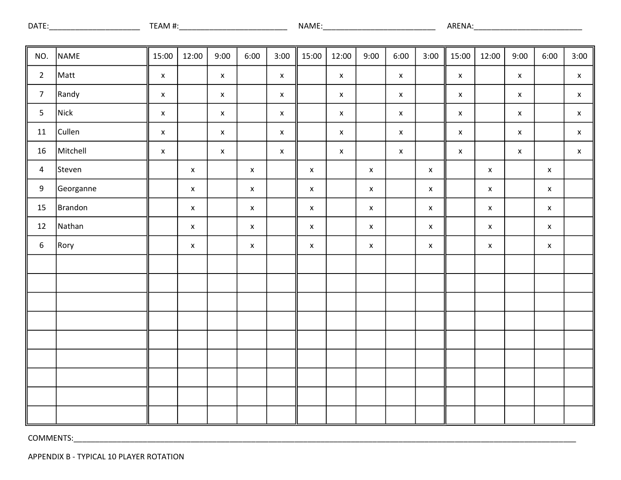| DATE | \ I\<br><del>דו</del> וו | <b>NAME</b> | ΔK<br>٠NA.<br>TINL. |
|------|--------------------------|-------------|---------------------|
|      |                          |             |                     |

| NO.              | NAME      | 15:00              | 12:00       | 9:00               | 6:00        | 3:00               | 15:00              | 12:00              | 9:00               | 6:00               | 3:00               | 15:00       | 12:00                     | 9:00         | 6:00               | 3:00               |
|------------------|-----------|--------------------|-------------|--------------------|-------------|--------------------|--------------------|--------------------|--------------------|--------------------|--------------------|-------------|---------------------------|--------------|--------------------|--------------------|
| $\overline{2}$   | Matt      | $\pmb{\mathsf{X}}$ |             | $\mathsf X$        |             | $\mathsf{X}$       |                    | $\mathsf{X}^-$     |                    | $\pmb{\mathsf{X}}$ |                    | $\mathsf X$ |                           | $\mathsf{x}$ |                    | $\mathsf X$        |
| $\overline{7}$   | Randy     | $\pmb{\mathsf{x}}$ |             | $\mathsf X$        |             | $\mathsf X$        |                    | $\mathsf X$        |                    | $\pmb{\mathsf{X}}$ |                    | $\mathsf X$ |                           | $\mathsf X$  |                    | $\pmb{\mathsf{X}}$ |
| 5                | Nick      | $\pmb{\mathsf{X}}$ |             | $\mathsf X$        |             | $\mathsf X$        |                    | $\mathsf X$        |                    | $\mathsf X$        |                    | $\mathsf X$ |                           | $\mathsf X$  |                    | $\pmb{\mathsf{X}}$ |
| $11\,$           | Cullen    | $\pmb{\mathsf{X}}$ |             | $\pmb{\mathsf{X}}$ |             | $\mathsf X$        |                    | $\pmb{\mathsf{X}}$ |                    | $\mathsf X$        |                    | $\mathsf X$ |                           | $\mathsf X$  |                    | $\pmb{\mathsf{X}}$ |
| 16               | Mitchell  | $\pmb{\mathsf{x}}$ |             | $\pmb{\mathsf{X}}$ |             | $\pmb{\mathsf{X}}$ |                    | $\mathsf X$        |                    | $\mathsf X$        |                    | $\mathsf X$ |                           | $\mathsf X$  |                    | $\pmb{\mathsf{X}}$ |
| $\overline{4}$   | Steven    |                    | $\mathsf X$ |                    | $\mathsf X$ |                    | $\pmb{\mathsf{x}}$ |                    | $\pmb{\mathsf{X}}$ |                    | $\pmb{\mathsf{X}}$ |             | $\mathsf{x}$              |              | $\pmb{\mathsf{X}}$ |                    |
| 9                | Georganne |                    | $\mathsf X$ |                    | $\mathsf X$ |                    | $\pmb{\mathsf{x}}$ |                    | $\pmb{\mathsf{X}}$ |                    | $\pmb{\mathsf{X}}$ |             | $\boldsymbol{\mathsf{X}}$ |              | $\pmb{\mathsf{X}}$ |                    |
| 15               | Brandon   |                    | $\mathsf X$ |                    | $\mathsf X$ |                    | $\mathsf X$        |                    | $\pmb{\mathsf{X}}$ |                    | $\pmb{\mathsf{X}}$ |             | $\mathsf X$               |              | $\mathsf X$        |                    |
| $12\,$           | Nathan    |                    | $\mathsf X$ |                    | $\mathsf X$ |                    | $\pmb{\mathsf{x}}$ |                    | $\pmb{\mathsf{X}}$ |                    | $\pmb{\mathsf{x}}$ |             | $\mathsf{X}^-$            |              | $\pmb{\mathsf{x}}$ |                    |
| $\boldsymbol{6}$ | Rory      |                    | $\mathsf X$ |                    | $\mathsf X$ |                    | $\mathsf X$        |                    | $\pmb{\mathsf{X}}$ |                    | $\pmb{\mathsf{X}}$ |             | $\mathsf{X}$              |              | $\pmb{\mathsf{X}}$ |                    |
|                  |           |                    |             |                    |             |                    |                    |                    |                    |                    |                    |             |                           |              |                    |                    |
|                  |           |                    |             |                    |             |                    |                    |                    |                    |                    |                    |             |                           |              |                    |                    |
|                  |           |                    |             |                    |             |                    |                    |                    |                    |                    |                    |             |                           |              |                    |                    |
|                  |           |                    |             |                    |             |                    |                    |                    |                    |                    |                    |             |                           |              |                    |                    |
|                  |           |                    |             |                    |             |                    |                    |                    |                    |                    |                    |             |                           |              |                    |                    |
|                  |           |                    |             |                    |             |                    |                    |                    |                    |                    |                    |             |                           |              |                    |                    |
|                  |           |                    |             |                    |             |                    |                    |                    |                    |                    |                    |             |                           |              |                    |                    |
|                  |           |                    |             |                    |             |                    |                    |                    |                    |                    |                    |             |                           |              |                    |                    |
|                  |           |                    |             |                    |             |                    |                    |                    |                    |                    |                    |             |                           |              |                    |                    |

APPENDIX B - TYPICAL 10 PLAYER ROTATION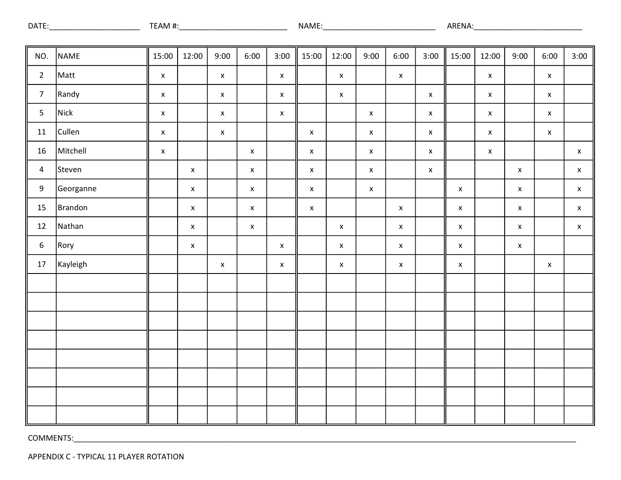| <b>DATE</b> | "<br><b></b> | .<br><b>NAME</b> | ARENA |
|-------------|--------------|------------------|-------|
|             |              |                  |       |

| NO.              | NAME      | 15:00              | 12:00              | 9:00               | 6:00               | 3:00        | 15:00              | 12:00              | 9:00               | 6:00        | 3:00               | 15:00       | 12:00       | 9:00        | 6:00               | 3:00               |
|------------------|-----------|--------------------|--------------------|--------------------|--------------------|-------------|--------------------|--------------------|--------------------|-------------|--------------------|-------------|-------------|-------------|--------------------|--------------------|
| $\overline{2}$   | Matt      | $\mathsf X$        |                    | $\mathsf X$        |                    | $\mathsf X$ |                    | $\mathsf X$        |                    | $\mathsf X$ |                    |             | $\mathsf X$ |             | $\mathsf X$        |                    |
| $\overline{7}$   | Randy     | $\pmb{\mathsf{x}}$ |                    | $\mathsf X$        |                    | $\mathsf X$ |                    | $\mathbf x$        |                    |             | $\pmb{\mathsf{X}}$ |             | $\mathsf X$ |             | $\pmb{\mathsf{X}}$ |                    |
| $\overline{5}$   | Nick      | $\pmb{\mathsf{x}}$ |                    | $\pmb{\mathsf{X}}$ |                    | $\mathsf X$ |                    |                    | $\mathsf X$        |             | $\mathsf X$        |             | $\mathsf X$ |             | $\pmb{\mathsf{X}}$ |                    |
| $11\,$           | Cullen    | $\mathsf X$        |                    | $\mathsf X$        |                    |             | $\pmb{\mathsf{X}}$ |                    | $\pmb{\mathsf{x}}$ |             | $\pmb{\mathsf{x}}$ |             | $\mathsf X$ |             | $\mathsf X$        |                    |
| $16\,$           | Mitchell  | $\pmb{\mathsf{x}}$ |                    |                    | $\pmb{\mathsf{X}}$ |             | $\mathsf X$        |                    | $\pmb{\mathsf{X}}$ |             | $\pmb{\mathsf{x}}$ |             | $\mathsf X$ |             |                    | $\pmb{\mathsf{X}}$ |
| $\overline{4}$   | Steven    |                    | $\pmb{\mathsf{x}}$ |                    | $\mathsf X$        |             | $\mathsf X$        |                    | $\mathsf X$        |             | $\pmb{\mathsf{x}}$ |             |             | $\mathsf X$ |                    | $\pmb{\mathsf{x}}$ |
| $\boldsymbol{9}$ | Georganne |                    | $\pmb{\mathsf{X}}$ |                    | $\pmb{\mathsf{X}}$ |             | $\pmb{\mathsf{X}}$ |                    | $\pmb{\mathsf{X}}$ |             |                    | $\mathsf X$ |             | $\mathsf X$ |                    | $\mathsf X$        |
| 15               | Brandon   |                    | $\mathsf X$        |                    | $\mathsf X$        |             | $\mathsf X$        |                    |                    | $\mathsf X$ |                    | $\mathsf X$ |             | $\mathsf X$ |                    | $\mathsf X$        |
| 12               | Nathan    |                    | $\pmb{\mathsf{X}}$ |                    | $\mathsf X$        |             |                    | $\mathsf X$        |                    | $\mathsf X$ |                    | $\mathsf X$ |             | $\mathsf X$ |                    | $\mathsf X$        |
| $\sqrt{6}$       | Rory      |                    | $\pmb{\mathsf{X}}$ |                    |                    | $\mathsf X$ |                    | $\pmb{\mathsf{x}}$ |                    | $\mathsf X$ |                    | $\mathsf X$ |             | $\mathsf X$ |                    |                    |
| $17\,$           | Kayleigh  |                    |                    | $\mathsf X$        |                    | $\mathsf X$ |                    | $\mathsf X$        |                    | $\mathsf X$ |                    | $\mathsf X$ |             |             | $\mathsf X$        |                    |
|                  |           |                    |                    |                    |                    |             |                    |                    |                    |             |                    |             |             |             |                    |                    |
|                  |           |                    |                    |                    |                    |             |                    |                    |                    |             |                    |             |             |             |                    |                    |
|                  |           |                    |                    |                    |                    |             |                    |                    |                    |             |                    |             |             |             |                    |                    |
|                  |           |                    |                    |                    |                    |             |                    |                    |                    |             |                    |             |             |             |                    |                    |
|                  |           |                    |                    |                    |                    |             |                    |                    |                    |             |                    |             |             |             |                    |                    |
|                  |           |                    |                    |                    |                    |             |                    |                    |                    |             |                    |             |             |             |                    |                    |
|                  |           |                    |                    |                    |                    |             |                    |                    |                    |             |                    |             |             |             |                    |                    |
|                  |           |                    |                    |                    |                    |             |                    |                    |                    |             |                    |             |             |             |                    |                    |

APPENDIX C - TYPICAL 11 PLAYER ROTATION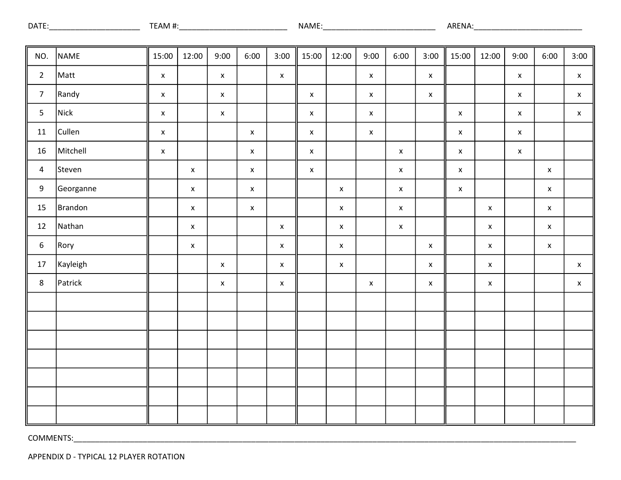| <b>DATE</b> | . | <b>NAME</b> | ARF<br>-NA. |
|-------------|---|-------------|-------------|
|             |   |             |             |

| NO.            | NAME      | 15:00              | 12:00              | 9:00               | 6:00               | 3:00               | 15:00              | 12:00              | 9:00               | 6:00        | 3:00               | 15:00       | 12:00       | 9:00        | 6:00               | 3:00               |
|----------------|-----------|--------------------|--------------------|--------------------|--------------------|--------------------|--------------------|--------------------|--------------------|-------------|--------------------|-------------|-------------|-------------|--------------------|--------------------|
| $\overline{2}$ | Matt      | $\pmb{\mathsf{X}}$ |                    | $\mathsf X$        |                    | $\mathsf X$        |                    |                    | $\pmb{\mathsf{x}}$ |             | $\pmb{\mathsf{X}}$ |             |             | $\mathsf X$ |                    | $\pmb{\mathsf{x}}$ |
| $\overline{7}$ | Randy     | $\mathsf X$        |                    | $\pmb{\mathsf{X}}$ |                    |                    | $\mathsf X$        |                    | $\pmb{\mathsf{x}}$ |             | $\pmb{\mathsf{X}}$ |             |             | $\mathsf X$ |                    | $\pmb{\mathsf{X}}$ |
| $5\phantom{a}$ | Nick      | $\pmb{\mathsf{X}}$ |                    | $\pmb{\mathsf{X}}$ |                    |                    | $\mathsf X$        |                    | $\pmb{\mathsf{x}}$ |             |                    | $\mathsf X$ |             | $\mathsf X$ |                    | $\pmb{\mathsf{x}}$ |
| 11             | Cullen    | $\pmb{\mathsf{X}}$ |                    |                    | $\pmb{\mathsf{X}}$ |                    | $\pmb{\mathsf{x}}$ |                    | $\pmb{\mathsf{x}}$ |             |                    | $\mathsf X$ |             | $\mathsf X$ |                    |                    |
| 16             | Mitchell  | $\pmb{\mathsf{x}}$ |                    |                    | $\pmb{\mathsf{X}}$ |                    | $\pmb{\mathsf{x}}$ |                    |                    | $\mathsf X$ |                    | $\mathsf X$ |             | $\mathsf X$ |                    |                    |
| $\overline{a}$ | Steven    |                    | $\pmb{\mathsf{X}}$ |                    | $\pmb{\mathsf{X}}$ |                    | $\pmb{\mathsf{x}}$ |                    |                    | $\mathsf X$ |                    | $\mathsf X$ |             |             | $\pmb{\mathsf{x}}$ |                    |
| 9              | Georganne |                    | $\mathsf X$        |                    | $\pmb{\mathsf{X}}$ |                    |                    | $\mathsf X$        |                    | $\mathsf X$ |                    | $\mathsf X$ |             |             | $\pmb{\mathsf{X}}$ |                    |
| 15             | Brandon   |                    | $\mathsf X$        |                    | $\pmb{\mathsf{X}}$ |                    |                    | $\pmb{\mathsf{x}}$ |                    | $\mathsf X$ |                    |             | $\mathsf X$ |             | $\pmb{\mathsf{x}}$ |                    |
| 12             | Nathan    |                    | $\pmb{\mathsf{X}}$ |                    |                    | $\mathsf X$        |                    | $\mathsf X$        |                    | $\mathsf X$ |                    |             | $\mathsf X$ |             | $\mathsf X$        |                    |
| $\sqrt{6}$     | Rory      |                    | $\pmb{\mathsf{X}}$ |                    |                    | $\mathsf X$        |                    | $\pmb{\mathsf{x}}$ |                    |             | $\mathsf X$        |             | $\mathsf X$ |             | $\pmb{\mathsf{x}}$ |                    |
| $17$           | Kayleigh  |                    |                    | $\pmb{\mathsf{X}}$ |                    | $\pmb{\mathsf{X}}$ |                    | $\pmb{\mathsf{x}}$ |                    |             | $\pmb{\mathsf{X}}$ |             | $\mathsf X$ |             |                    | $\pmb{\mathsf{X}}$ |
| $\,8\,$        | Patrick   |                    |                    | $\mathsf X$        |                    | $\pmb{\mathsf{x}}$ |                    |                    | $\pmb{\mathsf{X}}$ |             | $\mathsf X$        |             | $\mathsf X$ |             |                    | $\pmb{\mathsf{x}}$ |
|                |           |                    |                    |                    |                    |                    |                    |                    |                    |             |                    |             |             |             |                    |                    |
|                |           |                    |                    |                    |                    |                    |                    |                    |                    |             |                    |             |             |             |                    |                    |
|                |           |                    |                    |                    |                    |                    |                    |                    |                    |             |                    |             |             |             |                    |                    |
|                |           |                    |                    |                    |                    |                    |                    |                    |                    |             |                    |             |             |             |                    |                    |
|                |           |                    |                    |                    |                    |                    |                    |                    |                    |             |                    |             |             |             |                    |                    |
|                |           |                    |                    |                    |                    |                    |                    |                    |                    |             |                    |             |             |             |                    |                    |
|                |           |                    |                    |                    |                    |                    |                    |                    |                    |             |                    |             |             |             |                    |                    |

APPENDIX D - TYPICAL 12 PLAYER ROTATION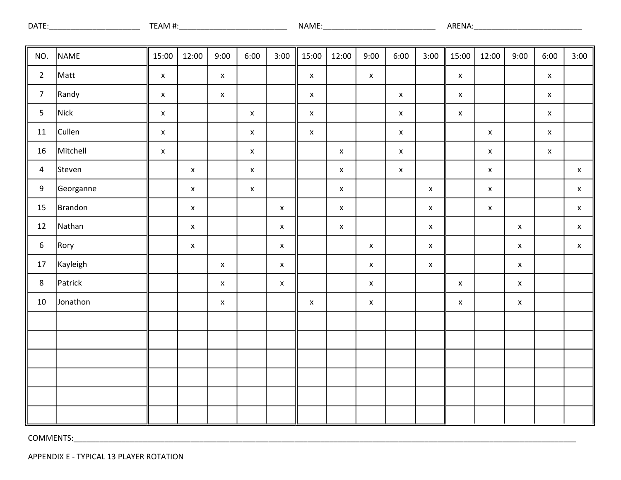| <b>DATE</b> | AM.<br>$\bm{\pi}$ | NAME | ARL<br>-NA |
|-------------|-------------------|------|------------|
|             |                   |      |            |

| NO.              | NAME      | 15:00              | 12:00              | 9:00               | 6:00               | 3:00               | 15:00              | 12:00              | 9:00               | 6:00        | 3:00               | 15:00              | 12:00                     | 9:00        | 6:00               | 3:00               |
|------------------|-----------|--------------------|--------------------|--------------------|--------------------|--------------------|--------------------|--------------------|--------------------|-------------|--------------------|--------------------|---------------------------|-------------|--------------------|--------------------|
| $\overline{2}$   | Matt      | $\pmb{\mathsf{x}}$ |                    | $\mathsf X$        |                    |                    | $\pmb{\mathsf{x}}$ |                    | $\pmb{\mathsf{X}}$ |             |                    | $\mathsf X$        |                           |             | $\mathsf X$        |                    |
| $\overline{7}$   | Randy     | $\pmb{\mathsf{x}}$ |                    | $\mathsf X$        |                    |                    | $\pmb{\mathsf{x}}$ |                    |                    | $\mathsf X$ |                    | $\mathsf X$        |                           |             | $\pmb{\mathsf{x}}$ |                    |
| $5\phantom{a}$   | Nick      | $\pmb{\mathsf{x}}$ |                    |                    | $\mathsf X$        |                    | $\pmb{\mathsf{x}}$ |                    |                    | $\mathsf X$ |                    | $\mathsf X$        |                           |             | $\mathsf X$        |                    |
| 11               | Cullen    | $\pmb{\mathsf{x}}$ |                    |                    | $\mathsf X$        |                    | $\pmb{\mathsf{x}}$ |                    |                    | $\mathsf X$ |                    |                    | $\mathsf X$               |             | $\mathsf X$        |                    |
| 16               | Mitchell  | $\pmb{\mathsf{x}}$ |                    |                    | $\mathsf X$        |                    |                    | $\pmb{\mathsf{x}}$ |                    | $\mathsf X$ |                    |                    | $\mathsf X$               |             | $\pmb{\mathsf{x}}$ |                    |
| $\overline{4}$   | Steven    |                    | $\pmb{\mathsf{X}}$ |                    | $\pmb{\mathsf{X}}$ |                    |                    | $\pmb{\mathsf{x}}$ |                    | $\mathsf X$ |                    |                    | $\boldsymbol{\mathsf{X}}$ |             |                    | $\pmb{\mathsf{x}}$ |
| $\boldsymbol{9}$ | Georganne |                    | $\pmb{\mathsf{x}}$ |                    | $\pmb{\mathsf{X}}$ |                    |                    | $\pmb{\mathsf{x}}$ |                    |             | $\pmb{\mathsf{x}}$ |                    | $\mathsf X$               |             |                    | $\mathsf X$        |
| 15               | Brandon   |                    | $\pmb{\mathsf{x}}$ |                    |                    | $\mathsf X$        |                    | $\pmb{\mathsf{x}}$ |                    |             | $\pmb{\mathsf{X}}$ |                    | $\mathsf X$               |             |                    | $\pmb{\mathsf{x}}$ |
| 12               | Nathan    |                    | $\pmb{\mathsf{x}}$ |                    |                    | $\mathsf X$        |                    | $\pmb{\mathsf{x}}$ |                    |             | $\pmb{\mathsf{x}}$ |                    |                           | $\mathsf X$ |                    | $\pmb{\mathsf{x}}$ |
| $\boldsymbol{6}$ | Rory      |                    | $\pmb{\mathsf{X}}$ |                    |                    | $\pmb{\mathsf{x}}$ |                    |                    | $\pmb{\mathsf{x}}$ |             | $\pmb{\mathsf{X}}$ |                    |                           | $\mathsf X$ |                    | $\pmb{\mathsf{X}}$ |
| 17               | Kayleigh  |                    |                    | $\mathsf X$        |                    | $\mathsf X$        |                    |                    | $\pmb{\chi}$       |             | $\pmb{\mathsf{x}}$ |                    |                           | $\mathsf X$ |                    |                    |
| $\,$ 8 $\,$      | Patrick   |                    |                    | $\pmb{\mathsf{x}}$ |                    | $\pmb{\mathsf{x}}$ |                    |                    | $\mathsf X$        |             |                    | $\pmb{\mathsf{X}}$ |                           | $\mathsf X$ |                    |                    |
| $10\,$           | Jonathon  |                    |                    | $\pmb{\mathsf{x}}$ |                    |                    | $\pmb{\mathsf{x}}$ |                    | $\pmb{\mathsf{x}}$ |             |                    | $\pmb{\mathsf{X}}$ |                           | $\mathsf X$ |                    |                    |
|                  |           |                    |                    |                    |                    |                    |                    |                    |                    |             |                    |                    |                           |             |                    |                    |
|                  |           |                    |                    |                    |                    |                    |                    |                    |                    |             |                    |                    |                           |             |                    |                    |
|                  |           |                    |                    |                    |                    |                    |                    |                    |                    |             |                    |                    |                           |             |                    |                    |
|                  |           |                    |                    |                    |                    |                    |                    |                    |                    |             |                    |                    |                           |             |                    |                    |
|                  |           |                    |                    |                    |                    |                    |                    |                    |                    |             |                    |                    |                           |             |                    |                    |
|                  |           |                    |                    |                    |                    |                    |                    |                    |                    |             |                    |                    |                           |             |                    |                    |

APPENDIX E - TYPICAL 13 PLAYER ROTATION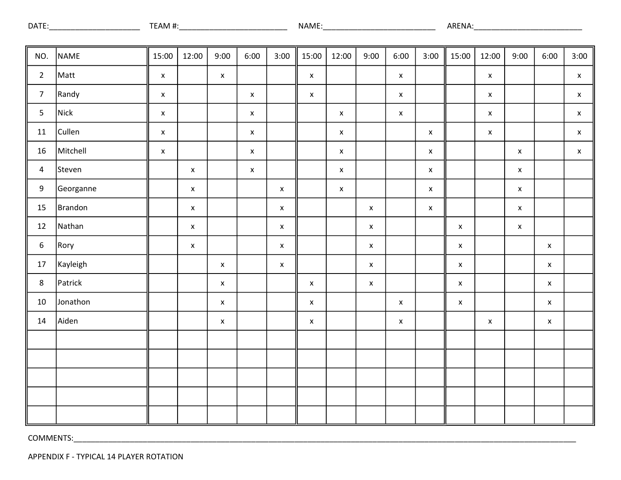| DATE | AM<br>. | AMI | ARENA. |
|------|---------|-----|--------|
|      |         |     |        |

| NO.              | <b>NAME</b> | 15:00              | 12:00              | 9:00               | 6:00               | 3:00               | 15:00              | 12:00              | 9:00               | 6:00               | 3:00               | 15:00              | 12:00              | 9:00               | 6:00               | 3:00               |
|------------------|-------------|--------------------|--------------------|--------------------|--------------------|--------------------|--------------------|--------------------|--------------------|--------------------|--------------------|--------------------|--------------------|--------------------|--------------------|--------------------|
| $\overline{2}$   | Matt        | $\pmb{\mathsf{x}}$ |                    | $\mathsf X$        |                    |                    | $\mathsf X$        |                    |                    | $\mathsf X$        |                    |                    | $\mathsf X$        |                    |                    | $\mathsf X$        |
| $\overline{7}$   | Randy       | $\pmb{\mathsf{x}}$ |                    |                    | $\mathsf X$        |                    | $\pmb{\mathsf{x}}$ |                    |                    | $\pmb{\mathsf{x}}$ |                    |                    | $\pmb{\mathsf{x}}$ |                    |                    | $\pmb{\mathsf{x}}$ |
| $\overline{5}$   | Nick        | $\pmb{\mathsf{x}}$ |                    |                    | $\mathsf X$        |                    |                    | $\pmb{\mathsf{X}}$ |                    | $\mathsf X$        |                    |                    | $\mathsf X$        |                    |                    | $\pmb{\mathsf{x}}$ |
| 11               | Cullen      | $\pmb{\mathsf{x}}$ |                    |                    | $\mathsf X$        |                    |                    | $\pmb{\mathsf{x}}$ |                    |                    | $\pmb{\mathsf{x}}$ |                    | $\mathsf X$        |                    |                    | $\pmb{\mathsf{x}}$ |
| $16\,$           | Mitchell    | $\pmb{\mathsf{x}}$ |                    |                    | $\mathsf X$        |                    |                    | $\pmb{\mathsf{x}}$ |                    |                    | $\pmb{\mathsf{x}}$ |                    |                    | $\mathsf X$        |                    | $\pmb{\mathsf{x}}$ |
| $\overline{a}$   | Steven      |                    | $\pmb{\mathsf{X}}$ |                    | $\pmb{\mathsf{x}}$ |                    |                    | $\pmb{\mathsf{x}}$ |                    |                    | $\pmb{\mathsf{x}}$ |                    |                    | $\mathsf X$        |                    |                    |
| 9                | Georganne   |                    | $\mathsf X$        |                    |                    | $\pmb{\mathsf{X}}$ |                    | $\pmb{\mathsf{x}}$ |                    |                    | $\pmb{\mathsf{X}}$ |                    |                    | $\mathsf X$        |                    |                    |
| 15               | Brandon     |                    | $\mathsf X$        |                    |                    | $\mathsf X$        |                    |                    | $\mathsf X$        |                    | $\pmb{\mathsf{X}}$ |                    |                    | $\mathsf X$        |                    |                    |
| 12               | Nathan      |                    | $\mathsf X$        |                    |                    | $\pmb{\mathsf{X}}$ |                    |                    | $\pmb{\mathsf{X}}$ |                    |                    | $\mathsf X$        |                    | $\pmb{\mathsf{X}}$ |                    |                    |
| $\boldsymbol{6}$ | Rory        |                    | $\pmb{\mathsf{x}}$ |                    |                    | $\pmb{\mathsf{x}}$ |                    |                    | $\mathsf X$        |                    |                    | $\mathsf X$        |                    |                    | $\pmb{\mathsf{X}}$ |                    |
| $17\,$           | Kayleigh    |                    |                    | $\mathsf X$        |                    | $\mathsf X$        |                    |                    | $\pmb{\mathsf{X}}$ |                    |                    | $\pmb{\mathsf{X}}$ |                    |                    | $\pmb{\mathsf{X}}$ |                    |
| $8\phantom{1}$   | Patrick     |                    |                    | $\pmb{\mathsf{x}}$ |                    |                    | $\pmb{\mathsf{X}}$ |                    | $\pmb{\mathsf{X}}$ |                    |                    | $\mathsf X$        |                    |                    | $\mathsf X$        |                    |
| 10               | Jonathon    |                    |                    | $\pmb{\mathsf{x}}$ |                    |                    | $\pmb{\mathsf{x}}$ |                    |                    | $\pmb{\mathsf{X}}$ |                    | $\mathsf X$        |                    |                    | $\pmb{\mathsf{X}}$ |                    |
| 14               | Aiden       |                    |                    | $\pmb{\mathsf{X}}$ |                    |                    | $\pmb{\mathsf{x}}$ |                    |                    | $\pmb{\mathsf{X}}$ |                    |                    | $\pmb{\mathsf{X}}$ |                    | $\pmb{\mathsf{X}}$ |                    |
|                  |             |                    |                    |                    |                    |                    |                    |                    |                    |                    |                    |                    |                    |                    |                    |                    |
|                  |             |                    |                    |                    |                    |                    |                    |                    |                    |                    |                    |                    |                    |                    |                    |                    |
|                  |             |                    |                    |                    |                    |                    |                    |                    |                    |                    |                    |                    |                    |                    |                    |                    |
|                  |             |                    |                    |                    |                    |                    |                    |                    |                    |                    |                    |                    |                    |                    |                    |                    |
|                  |             |                    |                    |                    |                    |                    |                    |                    |                    |                    |                    |                    |                    |                    |                    |                    |

APPENDIX F - TYPICAL 14 PLAYER ROTATION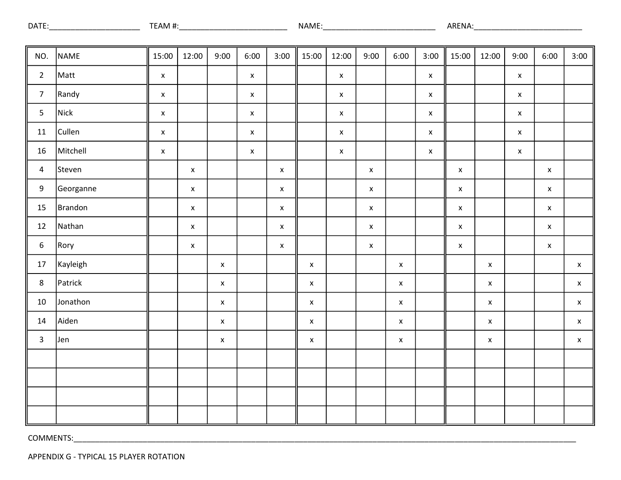| <b>DATE</b> | <br>$-1 - 1 - 1 - 1 = 1$<br>NА<br>/I I | <b>ARFNA</b> |
|-------------|----------------------------------------|--------------|
|             |                                        |              |

| NO.             | NAME      | 15:00              | 12:00              | 9:00               | 6:00               | 3:00               | 15:00              | 12:00              | 9:00               | 6:00               | 3:00               | 15:00              | 12:00              | 9:00         | 6:00               | 3:00               |
|-----------------|-----------|--------------------|--------------------|--------------------|--------------------|--------------------|--------------------|--------------------|--------------------|--------------------|--------------------|--------------------|--------------------|--------------|--------------------|--------------------|
| $\overline{2}$  | Matt      | $\pmb{\mathsf{X}}$ |                    |                    | $\mathsf X$        |                    |                    | $\bar{\mathbf{x}}$ |                    |                    | $\pmb{\mathsf{X}}$ |                    |                    | $\mathsf X$  |                    |                    |
| $\overline{7}$  | Randy     | $\pmb{\mathsf{X}}$ |                    |                    | $\mathsf X$        |                    |                    | $\mathsf X$        |                    |                    | $\pmb{\mathsf{X}}$ |                    |                    | $\mathsf X$  |                    |                    |
| $\overline{5}$  | Nick      | $\pmb{\mathsf{X}}$ |                    |                    | $\mathsf X$        |                    |                    | $\pmb{\mathsf{X}}$ |                    |                    | $\pmb{\mathsf{X}}$ |                    |                    | $\mathsf{x}$ |                    |                    |
| ${\bf 11}$      | Cullen    | $\pmb{\mathsf{X}}$ |                    |                    | $\pmb{\mathsf{X}}$ |                    |                    | $\pmb{\mathsf{X}}$ |                    |                    | $\pmb{\mathsf{X}}$ |                    |                    | $\mathsf X$  |                    |                    |
| $16\,$          | Mitchell  | $\pmb{\mathsf{x}}$ |                    |                    | $\pmb{\mathsf{X}}$ |                    |                    | $\pmb{\mathsf{x}}$ |                    |                    | $\pmb{\mathsf{X}}$ |                    |                    | $\mathsf X$  |                    |                    |
| $\overline{4}$  | Steven    |                    | $\mathsf X$        |                    |                    | $\pmb{\mathsf{x}}$ |                    |                    | $\pmb{\mathsf{X}}$ |                    |                    | $\mathsf X$        |                    |              | $\mathsf X$        |                    |
| 9               | Georganne |                    | $\pmb{\mathsf{X}}$ |                    |                    | $\mathsf X$        |                    |                    | $\pmb{\mathsf{X}}$ |                    |                    | $\mathsf X$        |                    |              | $\pmb{\mathsf{X}}$ |                    |
| 15              | Brandon   |                    | $\mathsf X$        |                    |                    | $\mathsf X$        |                    |                    | $\mathsf X$        |                    |                    | $\mathsf X$        |                    |              | $\pmb{\mathsf{X}}$ |                    |
| $12\,$          | Nathan    |                    | $\mathsf X$        |                    |                    | $\pmb{\mathsf{X}}$ |                    |                    | $\pmb{\mathsf{X}}$ |                    |                    | $\mathsf X$        |                    |              | $\pmb{\mathsf{X}}$ |                    |
| $6\phantom{.}6$ | Rory      |                    | $\mathsf X$        |                    |                    | $\pmb{\mathsf{x}}$ |                    |                    | $\pmb{\mathsf{X}}$ |                    |                    | $\pmb{\mathsf{X}}$ |                    |              | $\pmb{\mathsf{X}}$ |                    |
| 17              | Kayleigh  |                    |                    | $\pmb{\mathsf{x}}$ |                    |                    | $\pmb{\mathsf{X}}$ |                    |                    | $\pmb{\mathsf{X}}$ |                    |                    | $\pmb{\mathsf{X}}$ |              |                    | $\pmb{\mathsf{X}}$ |
| $\,8\,$         | Patrick   |                    |                    | $\pmb{\mathsf{x}}$ |                    |                    | $\pmb{\mathsf{X}}$ |                    |                    | $\pmb{\mathsf{X}}$ |                    |                    | $\pmb{\mathsf{X}}$ |              |                    | $\mathsf X$        |
| $10\,$          | Jonathon  |                    |                    | $\pmb{\mathsf{x}}$ |                    |                    | $\pmb{\mathsf{x}}$ |                    |                    | $\pmb{\mathsf{X}}$ |                    |                    | $\pmb{\mathsf{X}}$ |              |                    | $\pmb{\mathsf{X}}$ |
| 14              | Aiden     |                    |                    | $\pmb{\mathsf{X}}$ |                    |                    | $\pmb{\mathsf{x}}$ |                    |                    | $\pmb{\mathsf{X}}$ |                    |                    | $\pmb{\mathsf{X}}$ |              |                    | $\mathsf X$        |
| $\mathbf{3}$    | Jen       |                    |                    | $\mathsf X$        |                    |                    | $\mathsf X$        |                    |                    | $\pmb{\mathsf{X}}$ |                    |                    | $\pmb{\mathsf{X}}$ |              |                    | $\mathsf X$        |
|                 |           |                    |                    |                    |                    |                    |                    |                    |                    |                    |                    |                    |                    |              |                    |                    |
|                 |           |                    |                    |                    |                    |                    |                    |                    |                    |                    |                    |                    |                    |              |                    |                    |
|                 |           |                    |                    |                    |                    |                    |                    |                    |                    |                    |                    |                    |                    |              |                    |                    |
|                 |           |                    |                    |                    |                    |                    |                    |                    |                    |                    |                    |                    |                    |              |                    |                    |

APPENDIX G - TYPICAL 15 PLAYER ROTATION